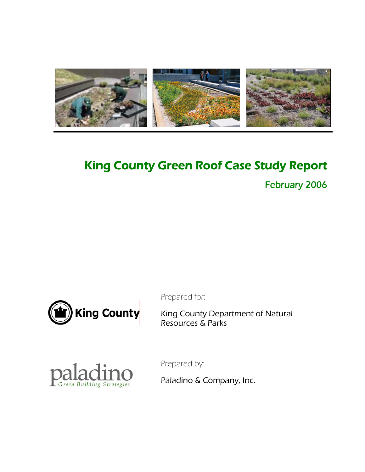

February 2006



Prepared for:

King County Department of Natural Resources & Parks



Prepared by:

Paladino & Company, Inc.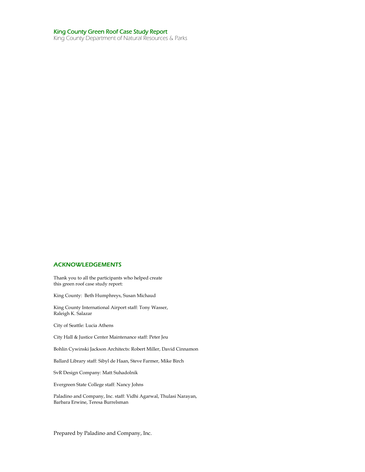King County Department of Natural Resources & Parks

### ACKNOWLEDGEMENTS

Thank you to all the participants who helped create this green roof case study report:

King County: Beth Humphreys, Susan Michaud

King County International Airport staff: Tony Wasser, Raleigh K. Salazar

City of Seattle: Lucia Athens

City Hall & Justice Center Maintenance staff: Peter Jeu

Bohlin Cywinski Jackson Architects: Robert Miller, David Cinnamon

Ballard Library staff: Sibyl de Haan, Steve Farmer, Mike Birch

SvR Design Company: Matt Suhadolnik

Evergreen State College staff: Nancy Johns

Paladino and Company, Inc. staff: Vidhi Agarwal, Thulasi Narayan, Barbara Erwine, Teresa Burrelsman

Prepared by Paladino and Company, Inc.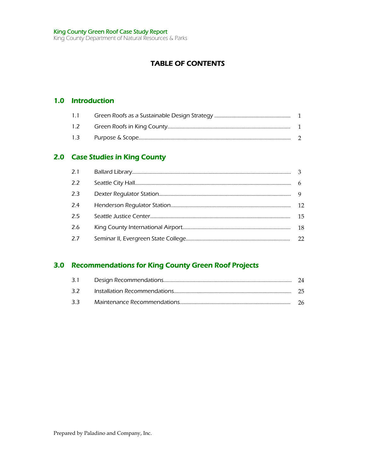# TABLE OF CONTENTS

# 1.0 Introduction

| 1.1 |  |
|-----|--|
| 1.2 |  |
| 1.3 |  |

# 2.0 Case Studies in King County

| 2.1 |    |
|-----|----|
| 2.2 |    |
| 2.3 |    |
| 2.4 |    |
| 2.5 | 15 |
| 2.6 |    |
| 2.7 |    |

# 3.0 Recommendations for King County Green Roof Projects

| $3.3 -$ |  |
|---------|--|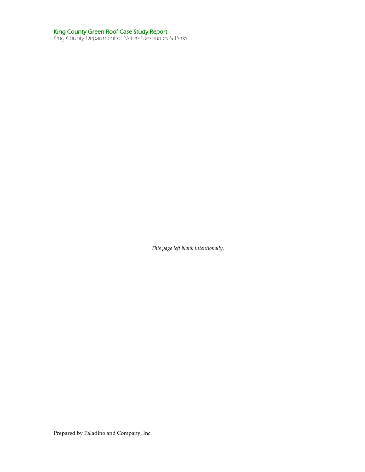King County Department of Natural Resources & Parks

*This page left blank intentionally.*

Prepared by Paladino and Company, Inc.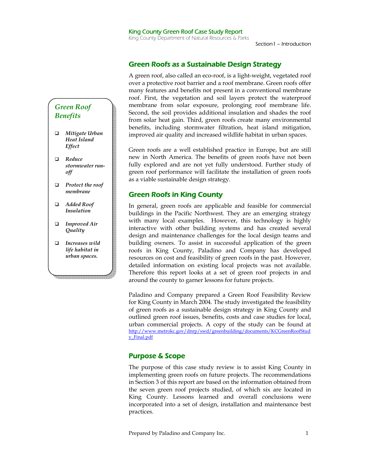King County Department of Natural Resources & Parks

Section1 – Introduction

# Green Roofs as a Sustainable Design Strategy

A green roof, also called an eco-roof, is a light-weight, vegetated roof over a protective root barrier and a roof membrane. Green roofs offer many features and benefits not present in a conventional membrane roof. First, the vegetation and soil layers protect the waterproof membrane from solar exposure, prolonging roof membrane life. Second, the soil provides additional insulation and shades the roof from solar heat gain. Third, green roofs create many environmental benefits, including stormwater filtration, heat island mitigation, improved air quality and increased wildlife habitat in urban spaces.

Green roofs are a well established practice in Europe, but are still new in North America. The benefits of green roofs have not been fully explored and are not yet fully understood. Further study of green roof performance will facilitate the installation of green roofs as a viable sustainable design strategy.

# Green Roofs in King County

In general, green roofs are applicable and feasible for commercial buildings in the Pacific Northwest. They are an emerging strategy with many local examples. However, this technology is highly interactive with other building systems and has created several design and maintenance challenges for the local design teams and building owners. To assist in successful application of the green roofs in King County, Paladino and Company has developed resources on cost and feasibility of green roofs in the past. However, detailed information on existing local projects was not available. Therefore this report looks at a set of green roof projects in and around the county to garner lessons for future projects.

Paladino and Company prepared a Green Roof Feasibility Review for King County in March 2004. The study investigated the feasibility of green roofs as a sustainable design strategy in King County and outlined green roof issues, benefits, costs and case studies for local, urban commercial projects. A copy of the study can be found at http://www.metrokc.gov/dnrp/swd/greenbuilding/documents/KCGreenRoofStud y\_Final.pdf

# Purpose & Scope

The purpose of this case study review is to assist King County in implementing green roofs on future projects. The recommendations in Section 3 of this report are based on the information obtained from the seven green roof projects studied, of which six are located in King County. Lessons learned and overall conclusions were incorporated into a set of design, installation and maintenance best practices.

Prepared by Paladino and Company Inc. 1



- *Mitigate Urban Heat Island Effect*
- *Reduce stormwater runoff*
- *Protect the roof membrane*
- *Added Roof Insulation*
- *Improved Air Quality*
- *Increases wild life habitat in urban spaces.*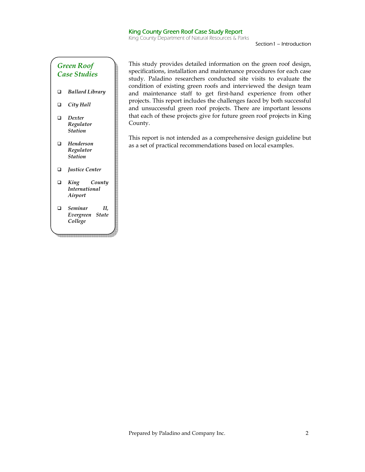King County Department of Natural Resources & Parks

Section1 – Introduction

# *Green Roof Case Studies*

- *Ballard Library*
- *City Hall*
- *Dexter Regulator Station*
- *Henderson Regulator Station*
- *Justice Center*
- *King County International Airport*
- *Seminar II, Evergreen State College*

This study provides detailed information on the green roof design, specifications, installation and maintenance procedures for each case study. Paladino researchers conducted site visits to evaluate the condition of existing green roofs and interviewed the design team and maintenance staff to get first-hand experience from other projects. This report includes the challenges faced by both successful and unsuccessful green roof projects. There are important lessons that each of these projects give for future green roof projects in King County.

This report is not intended as a comprehensive design guideline but as a set of practical recommendations based on local examples.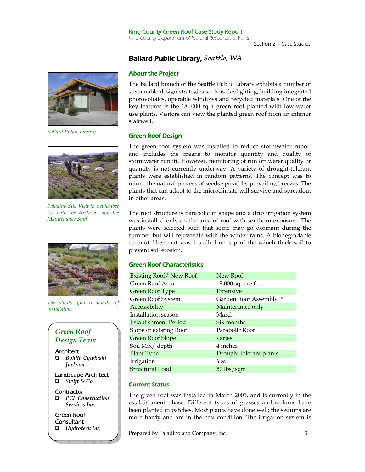King County Department of Natural Resources & Parks

Section 2 – Case Studies



*Ballard Public Library*



*Paladino Site Visit in September '05 with the Architect and the Maintenance Staff* 



*The plants after 6 months of installation* 

# *Green Roof Design Team*

**Architect** 

 *Bohlin Cywinski Jackson* 

Landscape Architect *Swift & Co.*

### **Contractor**

 *PCL Construction Services Inc.* 

### Green Roof **Consultant**

*Hydrotech Inc.* 

# Ballard Public Library, *Seattle, WA*

### About the Project

The Ballard branch of the Seattle Public Library exhibits a number of sustainable design strategies such as daylighting, building integrated photovoltaics, operable windows and recycled materials. One of the key features is the 18, 000 sq.ft green roof planted with low-water use plants. Visitors can view the planted green roof from an interior stairwell.

### Green Roof Design

The green roof system was installed to reduce stormwater runoff and includes the means to monitor quantity and quality of stormwater runoff. However, monitoring of run off water quality or quantity is not currently underway. A variety of drought-tolerant plants were established in random patterns. The concept was to mimic the natural process of seeds-spread by prevailing breezes. The plants that can adapt to the microclimate will survive and spreadout in other areas.

The roof structure is parabolic in shape and a drip irrigation system was installed only on the area of roof with southern exposure. The plants were selected such that some may go dormant during the summer but will rejuvenate with the winter rains. A biodegradable coconut fiber mat was installed on top of the 4-inch thick soil to prevent soil erosion.

# Green Roof Characteristics

| <b>Existing Roof/ New Roof</b> | New Roof                |
|--------------------------------|-------------------------|
| Green Roof Area                | 18,000 square feet      |
| Green Roof Type                | Extensive               |
| Green Roof System              | Garden Roof Assembly™   |
| Accessibility                  | Maintenance only        |
| Installation season            | March                   |
| Establishment Period           | Six months              |
| Slope of existing Roof         | Parabolic Roof          |
| <b>Green Roof Slope</b>        | varies                  |
| Soil Mix/ depth                | 4 inches                |
| Plant Type                     | Drought tolerant plants |
| Irrigation                     | Yes                     |
| <b>Structural Load</b>         | $50$ lbs/sqft           |
|                                |                         |

### Current Status

The green roof was installed in March 2005, and is currently in the establishment phase. Different types of grasses and sedums have been planted in patches. Most plants have done well; the sedums are more hardy and are in the best condition. The irrigation system is

Prepared by Paladino and Company, Inc. 3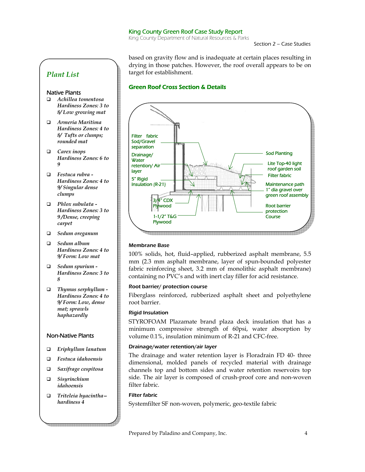King County Department of Natural Resources & Parks

Section 2 – Case Studies

based on gravity flow and is inadequate at certain places resulting in drying in those patches. However, the roof overall appears to be on target for establishment.

### Green Roof Cross Section & Details



### Membrane Base

100% solids, hot, fluid–applied, rubberized asphalt membrane, 5.5 mm (2.3 mm asphalt membrane, layer of spun-bounded polyester fabric reinforcing sheet, 3.2 mm of monolithic asphalt membrane) containing no PVC's and with inert clay filler for acid resistance.

### Root barrier/ protection course

Fiberglass reinforced, rubberized asphalt sheet and polyethylene root barrier.

### Rigid Insulation

STYROFOAM Plazamate brand plaza deck insulation that has a minimum compressive strength of 60psi, water absorption by volume 0.1%, insulation minimum of R-21 and CFC-free.

### Drainage/water retention/air layer

The drainage and water retention layer is Floradrain FD 40- three dimensional, molded panels of recycled material with drainage channels top and bottom sides and water retention reservoirs top side. The air layer is composed of crush-proof core and non-woven filter fabric.

### Filter fabric

Systemfilter SF non-woven, polymeric, geo-textile fabric

Prepared by Paladino and Company, Inc. 4

# *Plant List*

### Native Plants

- *Achillea tomentosa Hardiness Zones: 3 to 8/ Low growing mat*
- *Armeria Maritima Hardiness Zones: 4 to 8/ Tufts or clumps; rounded mat*
- *Carex inops Hardiness Zones: 6 to 9*
- *Festuca rubra Hardiness Zones: 4 to 9/ Singular dense clumps*
- *Phlox subulata Hardiness Zones: 3 to 9 /Dense, creeping carpet*
- *Sedum oreganum*
- *Sedum album Hardiness Zones: 4 to 9/ Form: Low mat*
- *Sedum spurium Hardiness Zones: 3 to 8*
- *Thymus serphyllum Hardiness Zones: 4 to 9/ Form: Low, dense mat; sprawls haphazardly*

### Non-Native Plants

- *Eriphyllum lanatum*
- *Festuca idahoensis*
- *Saxifrage cespitosa*
- *Sisyrinchium idahoensis*
- *Triteleia hyacintha hardiness 4*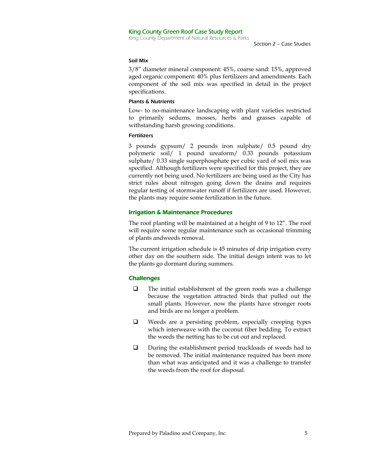King County Department of Natural Resources & Parks

Section 2 – Case Studies

#### Soil Mix

3/8" diameter mineral component: 45%, coarse sand: 15%, approved aged organic component: 40% plus fertilizers and amendments. Each component of the soil mix was specified in detail in the project specifications.

### Plants & Nutrients

Low- to no-maintenance landscaping with plant varieties restricted to primarily sedums, mosses, herbs and grasses capable of withstanding harsh growing conditions.

### Fertilizers

3 pounds gypsum/ 2 pounds iron sulphate/ 0.5 pound dry polymeric soil/ 1 pound ureaform/ 0.33 pounds potassium sulphate/ 0.33 single superphosphate per cubic yard of soil mix was specified. Although fertilizers were specified for this project, they are currently not being used. No fertilizers are being used as the City has strict rules about nitrogen going down the drains and requires regular testing of stormwater runoff if fertilizers are used. However, the plants may require some fertilization in the future.

### Irrigation & Maintenance Procedures

The roof planting will be maintained at a height of 9 to 12". The roof will require some regular maintenance such as occasional trimming of plants andweeds removal.

The current irrigation schedule is 45 minutes of drip irrigation every other day on the southern side. The initial design intent was to let the plants go dormant during summers.

### **Challenges**

- $\Box$  The initial establishment of the green roofs was a challenge because the vegetation attracted birds that pulled out the small plants. However, now the plants have stronger roots and birds are no longer a problem.
- Weeds are a persisting problem, especially creeping types which interweave with the coconut fiber bedding. To extract the weeds the netting has to be cut out and replaced.
- During the establishment period truckloads of weeds had to be removed. The initial maintenance required has been more than what was anticipated and it was a challenge to transfer the weeds from the roof for disposal.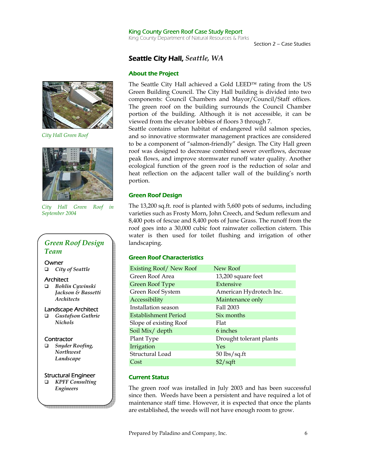King County Department of Natural Resources & Parks

Section 2 – Case Studies

# Seattle City Hall, *Seattle, WA*

# About the Project

The Seattle City Hall achieved a Gold LEED™ rating from the US Green Building Council. The City Hall building is divided into two components: Council Chambers and Mayor/Council/Staff offices. The green roof on the building surrounds the Council Chamber portion of the building. Although it is not accessible, it can be viewed from the elevator lobbies of floors 3 through 7.

Seattle contains urban habitat of endangered wild salmon species, and so innovative stormwater management practices are considered to be a component of "salmon-friendly" design. The City Hall green roof was designed to decrease combined sewer overflows, decrease peak flows, and improve stormwater runoff water quality. Another ecological function of the green roof is the reduction of solar and heat reflection on the adjacent taller wall of the building's north portion.

# Green Roof Design

The 13,200 sq.ft. roof is planted with 5,600 pots of sedums, including varieties such as Frosty Morn, John Creech, and Sedum reflexum and 8,400 pots of fescue and 8,400 pots of June Grass. The runoff from the roof goes into a 30,000 cubic foot rainwater collection cistern. This water is then used for toilet flushing and irrigation of other landscaping.

# Green Roof Characteristics

| <b>Existing Roof/ New Roof</b> | New Roof                |
|--------------------------------|-------------------------|
| Green Roof Area                | 13,200 square feet      |
| Green Roof Type                | Extensive               |
| Green Roof System              | American Hydrotech Inc. |
| Accessibility                  | Maintenance only        |
| Installation season            | Fall 2003               |
| Establishment Period           | Six months              |
| Slope of existing Roof         | Flat                    |
| Soil Mix/ depth                | 6 inches                |
| Plant Type                     | Drought tolerant plants |
| Irrigation                     | Yes                     |
| Structural Load                | $50$ lbs/sq.ft          |
| Cost                           | $$2/s$ gft              |

# Current Status

The green roof was installed in July 2003 and has been successful since then. Weeds have been a persistent and have required a lot of maintenance staff time. However, it is expected that once the plants are established, the weeds will not have enough room to grow.



*City Hall Green Roof*



*City Hall Green Roof in September 2004* 

# *Green Roof Design Team*

# Owner

*City of Seattle* 

# **Architect**

 *Bohlin Cywinski Jackson & Bassetti Architects* 

# Landscape Architect

 *Gustafson Guthrie Nichols* 

# **Contractor**

 *Snyder Roofing, Northwest Landscape* 

# Structural Engineer

 *KPFF Consulting Engineers*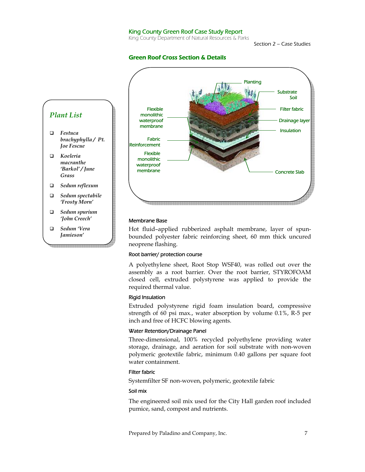King County Department of Natural Resources & Parks

Section 2 – Case Studies

# Green Roof Cross Section & Details



### Membrane Base

*Plant List*

*Festuca* 

*Joe Fescue Koeleria macranthe 'Barkol' / June* 

*Grass* 

 *Sedum reflexum Sedum spectabile 'Frosty Morn' Sedum spurium 'John Creech' Sedum 'Vera Jamieson'* 

*brachyphylla / Pt.* 

Hot fluid–applied rubberized asphalt membrane, layer of spunbounded polyester fabric reinforcing sheet, 60 mm thick uncured neoprene flashing.

### Root barrier/ protection course

A polyethylene sheet, Root Stop WSF40, was rolled out over the assembly as a root barrier. Over the root barrier, STYROFOAM closed cell, extruded polystyrene was applied to provide the required thermal value.

#### Rigid Insulation

Extruded polystyrene rigid foam insulation board, compressive strength of 60 psi max., water absorption by volume 0.1%, R-5 per inch and free of HCFC blowing agents.

### Water Retention/Drainage Panel

Three-dimensional, 100% recycled polyethylene providing water storage, drainage, and aeration for soil substrate with non-woven polymeric geotextile fabric, minimum 0.40 gallons per square foot water containment.

### Filter fabric

Systemfilter SF non-woven, polymeric, geotextile fabric

# Soil mix

The engineered soil mix used for the City Hall garden roof included pumice, sand, compost and nutrients.

Prepared by Paladino and Company, Inc. 7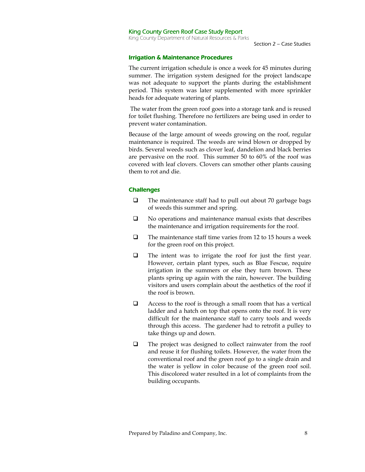King County Department of Natural Resources & Parks

Section 2 – Case Studies

### Irrigation & Maintenance Procedures

The current irrigation schedule is once a week for 45 minutes during summer. The irrigation system designed for the project landscape was not adequate to support the plants during the establishment period. This system was later supplemented with more sprinkler heads for adequate watering of plants.

 The water from the green roof goes into a storage tank and is reused for toilet flushing. Therefore no fertilizers are being used in order to prevent water contamination.

Because of the large amount of weeds growing on the roof, regular maintenance is required. The weeds are wind blown or dropped by birds. Several weeds such as clover leaf, dandelion and black berries are pervasive on the roof. This summer 50 to 60% of the roof was covered with leaf clovers. Clovers can smother other plants causing them to rot and die.

# **Challenges**

- $\Box$  The maintenance staff had to pull out about 70 garbage bags of weeds this summer and spring.
- No operations and maintenance manual exists that describes the maintenance and irrigation requirements for the roof.
- $\Box$  The maintenance staff time varies from 12 to 15 hours a week for the green roof on this project.
- The intent was to irrigate the roof for just the first year. However, certain plant types, such as Blue Fescue, require irrigation in the summers or else they turn brown. These plants spring up again with the rain, however. The building visitors and users complain about the aesthetics of the roof if the roof is brown.
- $\Box$  Access to the roof is through a small room that has a vertical ladder and a hatch on top that opens onto the roof. It is very difficult for the maintenance staff to carry tools and weeds through this access. The gardener had to retrofit a pulley to take things up and down.
- $\Box$  The project was designed to collect rainwater from the roof and reuse it for flushing toilets. However, the water from the conventional roof and the green roof go to a single drain and the water is yellow in color because of the green roof soil. This discolored water resulted in a lot of complaints from the building occupants.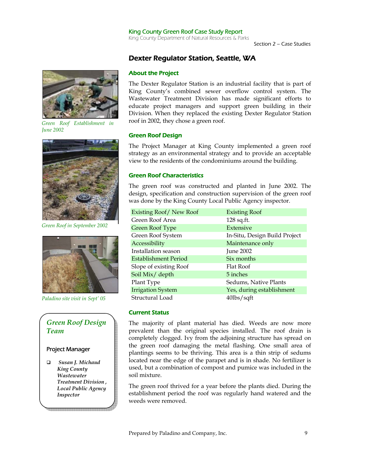King County Department of Natural Resources & Parks

Section 2 – Case Studies



*Green Roof Establishment in June 2002* 



*Green Roof in September 2002* 



*Paladino site visit in Sept' 05* 

# *Green Roof Design Team*

# Project Manager

 *Susan J. Michaud King County Wastewater Treatment Division , Local Public Agency Inspector* 

# Dexter Regulator Station, Seattle, WA

# About the Project

The Dexter Regulator Station is an industrial facility that is part of King County's combined sewer overflow control system. The Wastewater Treatment Division has made significant efforts to educate project managers and support green building in their Division. When they replaced the existing Dexter Regulator Station roof in 2002, they chose a green roof.

# Green Roof Design

The Project Manager at King County implemented a green roof strategy as an environmental strategy and to provide an acceptable view to the residents of the condominiums around the building.

# Green Roof Characteristics

The green roof was constructed and planted in June 2002. The design, specification and construction supervision of the green roof was done by the King County Local Public Agency inspector.

| <b>Existing Roof/ New Roof</b> | <b>Existing Roof</b>          |
|--------------------------------|-------------------------------|
| Green Roof Area                | $128$ sq.ft.                  |
| Green Roof Type                | Extensive                     |
| Green Roof System              | In-Situ, Design Build Project |
| Accessibility                  | Maintenance only              |
| Installation season            | <b>June 2002</b>              |
| <b>Establishment Period</b>    | Six months                    |
| Slope of existing Roof         | Flat Roof                     |
| Soil Mix/ depth                | 5 inches                      |
| Plant Type                     | Sedums, Native Plants         |
| <b>Irrigation System</b>       | Yes, during establishment     |
| Structural Load                | $40$ lbs/sqft                 |

# Current Status

The majority of plant material has died. Weeds are now more prevalent than the original species installed. The roof drain is completely clogged. Ivy from the adjoining structure has spread on the green roof damaging the metal flashing. One small area of plantings seems to be thriving. This area is a thin strip of sedums located near the edge of the parapet and is in shade. No fertilizer is used, but a combination of compost and pumice was included in the soil mixture.

The green roof thrived for a year before the plants died. During the establishment period the roof was regularly hand watered and the weeds were removed.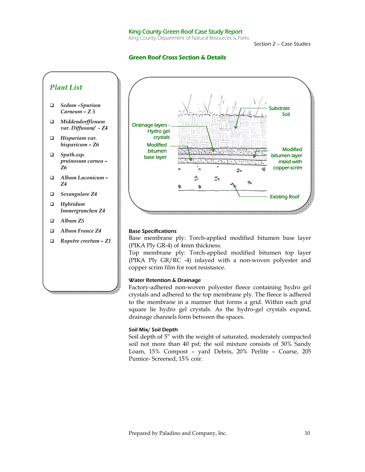King County Department of Natural Resources & Parks

Section 2 – Case Studies

# Green Roof Cross Section & Details

# *Plant List*

- *Sedum –Spurium Carneum – Z 5*
- *Middendorfflenum var. Diffusum/ - Z4*
- *Hispariam var. hisparicum – Z6*
- *Spath.ssp. pruinosum carnea – Z6*
- *Album Laconicum Z4*
- *Sexangulare Z4*
- *Hybridum Immergrunchen Z4*
- *Album Z5*
- *Album France Z4*
- *Rupstre creetum Z1*



### Base Specifications

Base membrane ply: Torch-applied modified bitumen base layer (PIKA Ply GR-4) of 4mm thickness.

Top membrane ply: Torch-applied modified bitumen top layer (PIKA Ply GR/RC -4) inlayed with a non-woven polyester and copper scrim film for root resistance.

### Water Retention & Drainage

Factory-adhered non-woven polyester fleece containing hydro gel crystals and adhered to the top membrane ply. The fleece is adhered to the membrane in a manner that forms a grid. Within each grid square lie hydro gel crystals. As the hydro-gel crystals expand, drainage channels form between the spaces.

### Soil Mix/ Soil Depth

Soil depth of 5" with the weight of saturated, moderately compacted soil not more than 40 psf; the soil mixture consists of 30% Sandy Loam, 15% Compost – yard Debris, 20% Perlite – Coarse, 205 Pumice- Screened, 15% coir.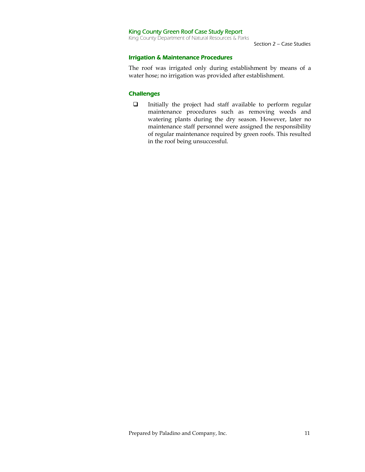King County Department of Natural Resources & Parks

Section 2 – Case Studies

# Irrigation & Maintenance Procedures

The roof was irrigated only during establishment by means of a water hose; no irrigation was provided after establishment.

# **Challenges**

 $\Box$  Initially the project had staff available to perform regular maintenance procedures such as removing weeds and watering plants during the dry season. However, later no maintenance staff personnel were assigned the responsibility of regular maintenance required by green roofs. This resulted in the roof being unsuccessful.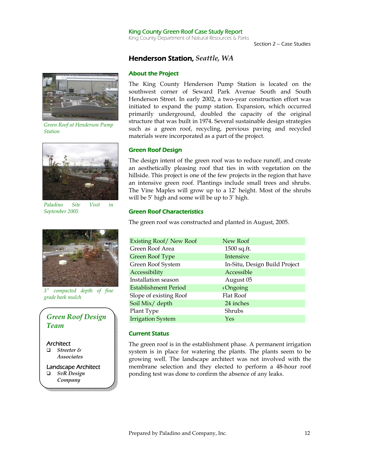King County Department of Natural Resources & Parks

Section 2 – Case Studies



*Green Roof at Henderson Pump Station*



*Paladino Site Visit in September 2005* 



*3" compacted depth of fine grade bark mulch*

*Green Roof Design Team*

**Architect** 

 *Streeter & Associates* 

Landscape Architect

 *SvR Design Company* 

# Henderson Station, *Seattle, WA*

# About the Project

The King County Henderson Pump Station is located on the southwest corner of Seward Park Avenue South and South Henderson Street. In early 2002, a two-year construction effort was initiated to expand the pump station. Expansion, which occurred primarily underground, doubled the capacity of the original structure that was built in 1974. Several sustainable design strategies such as a green roof, recycling, pervious paving and recycled materials were incorporated as a part of the project.

# Green Roof Design

The design intent of the green roof was to reduce runoff, and create an aesthetically pleasing roof that ties in with vegetation on the hillside. This project is one of the few projects in the region that have an intensive green roof. Plantings include small trees and shrubs. The Vine Maples will grow up to a 12' height. Most of the shrubs will be 5' high and some will be up to 3' high.

### Green Roof Characteristics

The green roof was constructed and planted in August, 2005.

| <b>Existing Roof/ New Roof</b> | New Roof                      |
|--------------------------------|-------------------------------|
| Green Roof Area                | 1500 sq.ft.                   |
| Green Roof Type                | Intensive                     |
| Green Roof System              | In-Situ, Design Build Project |
| Accessibility                  | Accessible                    |
| Installation season            | August 05                     |
| Establishment Period           | <b>Cngoing</b>                |
| Slope of existing Roof         | Flat Roof                     |
| Soil Mix/ depth                | 24 inches                     |
| Plant Type                     | Shrubs                        |
| <b>Irrigation System</b>       | Yes                           |

### Current Status

The green roof is in the establishment phase. A permanent irrigation system is in place for watering the plants. The plants seem to be growing well. The landscape architect was not involved with the membrane selection and they elected to perform a 48-hour roof ponding test was done to confirm the absence of any leaks.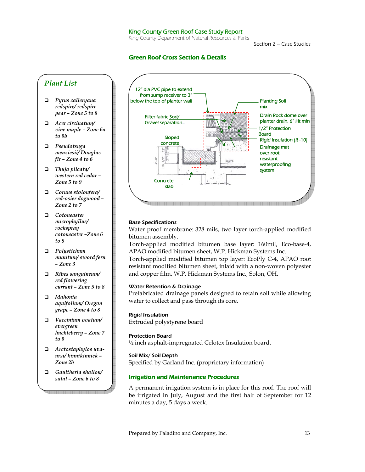King County Department of Natural Resources & Parks

Section 2 – Case Studies

# Green Roof Cross Section & Details

# *Plant List*

- *Pyrus calleryana redspire/ redspire pear – Zone 5 to 8*
- *Acer circinatum/ vine maple – Zone 6a to 9b*
- *Pseudotsuga menziesii/ Douglas fir – Zone 4 to 6*
- *Thuja plicata/ western red cedar – Zone 5 to 9*
- *Cornus stolonfera/ red-osier dogwood – Zone 2 to 7*
- *Cotoneaster microphyllus/ rockspray cotoneaster –Zone 6 to 8*
- *Polystichum munitum/ sword fern – Zone 3*
- *Ribes sanguineum/ red flowering currant – Zone 5 to 8*
- *Mahonia aquifolium/ Oregon grape – Zone 4 to 8*
- *Vaccinium ovatum/ evergreen huckleberry – Zone 7 to 9*
- *Arctostaphylos uvaursi/ kinnikinnick – Zone 2b*
- *Gaultheria shallon/ salal – Zone 6 to 8*



# Base Specifications

Water proof membrane: 328 mils, two layer torch-applied modified bitumen assembly.

Torch-applied modified bitumen base layer: 160mil, Eco-base-4, APAO modified bitumen sheet, W.P. Hickman Systems Inc.

Torch-applied modified bitumen top layer: EcoPly C-4, APAO root resistant modified bitumen sheet, inlaid with a non-woven polyester and copper film, W.P. Hickman Systems Inc., Solon, OH.

### Water Retention & Drainage

Prefabricated drainage panels designed to retain soil while allowing water to collect and pass through its core.

### Rigid Insulation

Extruded polystyrene board

#### Protection Board

½ inch asphalt-impregnated Celotex Insulation board.

### Soil Mix/ Soil Depth

Specified by Garland Inc. (proprietary information)

### Irrigation and Maintenance Procedures

A permanent irrigation system is in place for this roof. The roof will be irrigated in July, August and the first half of September for 12 minutes a day, 5 days a week.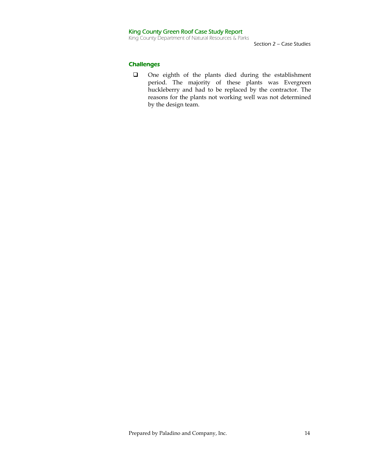King County Department of Natural Resources & Parks

Section 2 – Case Studies

# **Challenges**

 One eighth of the plants died during the establishment period. The majority of these plants was Evergreen huckleberry and had to be replaced by the contractor. The reasons for the plants not working well was not determined by the design team.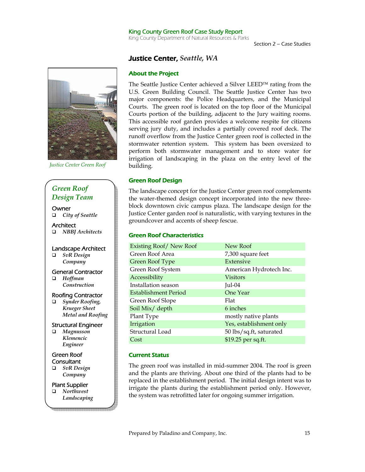King County Department of Natural Resources & Parks

Section 2 – Case Studies



*Justice Center Green Roof* 

# *Green Roof Design Team*

**Owner** *City of Seattle* 

**Architect** *NBBJ Architects* 

# Landscape Architect

- *SvR Design Company*
- General Contractor
- *Hoffman Construction*

# Roofing Contractor

 *Synder Roofing, Krueger Sheet Metal and Roofing* 

# Structural Engineer

 *Magnusson Klemencic Engineer* 

### Green Roof **Consultant**

 *SvR Design Company* 

# Plant Supplier

 *Northwest Landscaping* 

# Justice Center, *Seattle, WA*

# About the Project

The Seattle Justice Center achieved a Silver LEED™ rating from the U.S. Green Building Council. The Seattle Justice Center has two major components: the Police Headquarters, and the Municipal Courts. The green roof is located on the top floor of the Municipal Courts portion of the building, adjacent to the Jury waiting rooms. This accessible roof garden provides a welcome respite for citizens serving jury duty, and includes a partially covered roof deck. The runoff overflow from the Justice Center green roof is collected in the stormwater retention system. This system has been oversized to perform both stormwater management and to store water for irrigation of landscaping in the plaza on the entry level of the building.

# Green Roof Design

The landscape concept for the Justice Center green roof complements the water-themed design concept incorporated into the new threeblock downtown civic campus plaza. The landscape design for the Justice Center garden roof is naturalistic, with varying textures in the groundcover and accents of sheep fescue.

# Green Roof Characteristics

| <b>Existing Roof/ New Roof</b> | New Roof                |
|--------------------------------|-------------------------|
| Green Roof Area                | 7,300 square feet       |
| <b>Green Roof Type</b>         | Extensive               |
| Green Roof System              | American Hydrotech Inc. |
| Accessibility                  | <b>Visitors</b>         |
| Installation season            | Jul-04                  |
| Establishment Period           | One Year                |
| Green Roof Slope               | Flat                    |
| Soil Mix/ depth                | 6 inches                |
| Plant Type                     | mostly native plants    |
| Irrigation                     | Yes, establishment only |
| Structural Load                | 50 lbs/sq.ft, saturated |
| Cost                           | \$19.25 per sq.ft.      |
|                                |                         |

# Current Status

The green roof was installed in mid-summer 2004. The roof is green and the plants are thriving. About one third of the plants had to be replaced in the establishment period. The initial design intent was to irrigate the plants during the establishment period only. However, the system was retrofitted later for ongoing summer irrigation.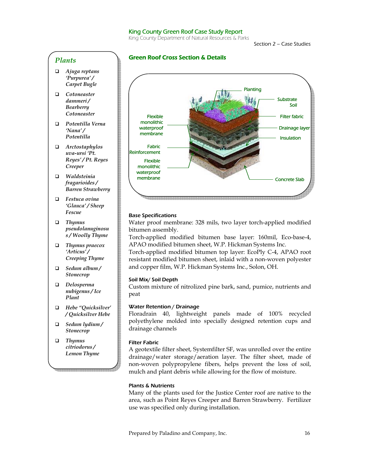King County Department of Natural Resources & Parks

Section 2 – Case Studies

# *Plants*

- *Ajuga reptans 'Purpurea' / Carpet Bugle*
- *Cotoneaster dammeri / Bearberry Cotoneaster*
- *Potentilla Verna 'Nana' / Potentilla*
- *Arctostaphylos uva-ursi 'Pt. Reyes' / Pt. Reyes Creeper*
- *Waldsteinia fragarioides / Barren Strawberry*
- *Festuca ovina 'Glauca' / Sheep Fescue*
- *Thymus pseudolanuginosu s / Woolly Thyme*
- *Thymus praecox 'Articus' / Creeping Thyme*
- *Sedum album / Stonecrop*
- *Delosperma nubigenus / Ice Plant*
- *Hebe "Quicksilver' / Quicksilver Hebe*
- *Sedum lydium / Stonecrop*
- *Thymus citriodorus / Lemon Thyme*

# Green Roof Cross Section & Details



### Base Specifications

Water proof membrane: 328 mils, two layer torch-applied modified bitumen assembly.

Torch-applied modified bitumen base layer: 160mil, Eco-base-4, APAO modified bitumen sheet, W.P. Hickman Systems Inc.

Torch-applied modified bitumen top layer: EcoPly C-4, APAO root resistant modified bitumen sheet, inlaid with a non-woven polyester and copper film, W.P. Hickman Systems Inc., Solon, OH.

### Soil Mix/ Soil Depth

Custom mixture of nitrolized pine bark, sand, pumice, nutrients and peat

### Water Retention / Drainage

Floradrain 40, lightweight panels made of 100% recycled polyethylene molded into specially designed retention cups and drainage channels

### Filter Fabric

A geotextile filter sheet, Systemfilter SF, was unrolled over the entire drainage/water storage/aeration layer. The filter sheet, made of non-woven polypropylene fibers, helps prevent the loss of soil, mulch and plant debris while allowing for the flow of moisture.

#### Plants & Nutrients

Many of the plants used for the Justice Center roof are native to the area, such as Point Reyes Creeper and Barren Strawberry. Fertilizer use was specified only during installation.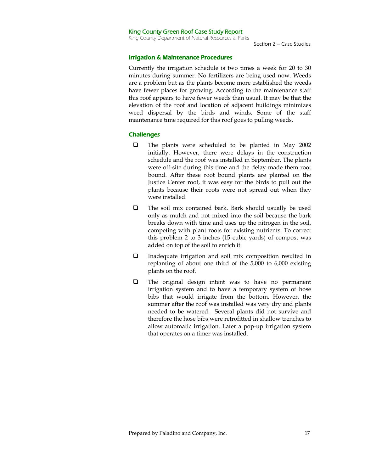King County Department of Natural Resources & Parks

Section 2 – Case Studies

### Irrigation & Maintenance Procedures

Currently the irrigation schedule is two times a week for 20 to 30 minutes during summer. No fertilizers are being used now. Weeds are a problem but as the plants become more established the weeds have fewer places for growing. According to the maintenance staff this roof appears to have fewer weeds than usual. It may be that the elevation of the roof and location of adjacent buildings minimizes weed dispersal by the birds and winds. Some of the staff maintenance time required for this roof goes to pulling weeds.

# **Challenges**

- $\Box$  The plants were scheduled to be planted in May 2002 initially. However, there were delays in the construction schedule and the roof was installed in September. The plants were off-site during this time and the delay made them root bound. After these root bound plants are planted on the Justice Center roof, it was easy for the birds to pull out the plants because their roots were not spread out when they were installed.
- $\Box$  The soil mix contained bark. Bark should usually be used only as mulch and not mixed into the soil because the bark breaks down with time and uses up the nitrogen in the soil, competing with plant roots for existing nutrients. To correct this problem 2 to 3 inches (15 cubic yards) of compost was added on top of the soil to enrich it.
- $\Box$  Inadequate irrigation and soil mix composition resulted in replanting of about one third of the 5,000 to 6,000 existing plants on the roof.
- The original design intent was to have no permanent irrigation system and to have a temporary system of hose bibs that would irrigate from the bottom. However, the summer after the roof was installed was very dry and plants needed to be watered. Several plants did not survive and therefore the hose bibs were retrofitted in shallow trenches to allow automatic irrigation. Later a pop-up irrigation system that operates on a timer was installed.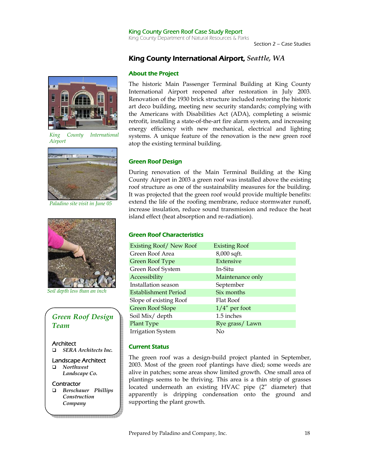King County Department of Natural Resources & Parks

Section 2 – Case Studies



*King County International Airport*



*Paladino site visit in June 05* 



*Soil depth less than an inch* 

*Green Roof Design Team*

**Architect** *SERA Architects Inc.* 

### Landscape Architect

 *Northwest Landscape Co.* 

**Contractor** 

 *Berschauer Phillips Construction Company* 

# King County International Airport, *Seattle, WA*

### About the Project

The historic Main Passenger Terminal Building at King County International Airport reopened after restoration in July 2003. Renovation of the 1930 brick structure included restoring the historic art deco building, meeting new security standards; complying with the Americans with Disabilities Act (ADA), completing a seismic retrofit, installing a state-of-the-art fire alarm system, and increasing energy efficiency with new mechanical, electrical and lighting systems. A unique feature of the renovation is the new green roof atop the existing terminal building.

# Green Roof Design

During renovation of the Main Terminal Building at the King County Airport in 2003 a green roof was installed above the existing roof structure as one of the sustainability measures for the building. It was projected that the green roof would provide multiple benefits: extend the life of the roofing membrane, reduce stormwater runoff, increase insulation, reduce sound transmission and reduce the heat island effect (heat absorption and re-radiation).

### Green Roof Characteristics

| Existing Roof/New Roof      | <b>Existing Roof</b> |
|-----------------------------|----------------------|
| Green Roof Area             | 8,000 sqft.          |
| Green Roof Type             | Extensive            |
| Green Roof System           | In-Situ              |
| Accessibility               | Maintenance only     |
| Installation season         | September            |
| <b>Establishment Period</b> | Six months           |
| Slope of existing Roof      | Flat Roof            |
| <b>Green Roof Slope</b>     | $1/4$ " per foot     |
| Soil Mix/ depth             | 1.5 inches           |
| Plant Type                  | Rye grass/Lawn       |
| <b>Irrigation System</b>    | No                   |
|                             |                      |

# Current Status

The green roof was a design-build project planted in September, 2003. Most of the green roof plantings have died; some weeds are alive in patches; some areas show limited growth. One small area of plantings seems to be thriving. This area is a thin strip of grasses located underneath an existing HVAC pipe (2" diameter) that apparently is dripping condensation onto the ground and supporting the plant growth.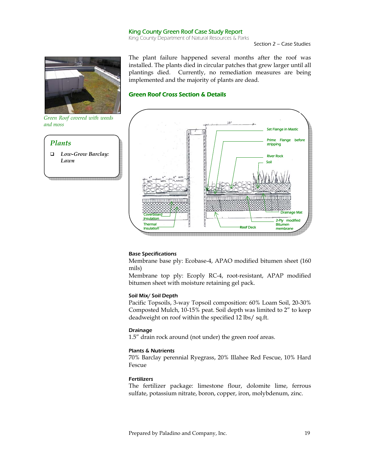King County Department of Natural Resources & Parks

Section 2 – Case Studies



*Green Roof covered with weeds and moss* 

# *Plants*

 *Low-Grow Barclay: Lawn* 

The plant failure happened several months after the roof was installed. The plants died in circular patches that grew larger until all plantings died. Currently, no remediation measures are being implemented and the majority of plants are dead.

# Green Roof Cross Section & Details



### Base Specifications

Membrane base ply: Ecobase-4, APAO modified bitumen sheet (160 mils)

Membrane top ply: Ecoply RC-4, root-resistant, APAP modified bitumen sheet with moisture retaining gel pack.

#### Soil Mix/ Soil Depth

Pacific Topsoils, 3-way Topsoil composition: 60% Loam Soil, 20-30% Composted Mulch, 10-15% peat. Soil depth was limited to 2" to keep deadweight on roof within the specified 12 lbs/ sq.ft.

#### Drainage

1.5" drain rock around (not under) the green roof areas.

### Plants & Nutrients

70% Barclay perennial Ryegrass, 20% Illahee Red Fescue, 10% Hard Fescue

#### **Fertilizers**

The fertilizer package: limestone flour, dolomite lime, ferrous sulfate, potassium nitrate, boron, copper, iron, molybdenum, zinc.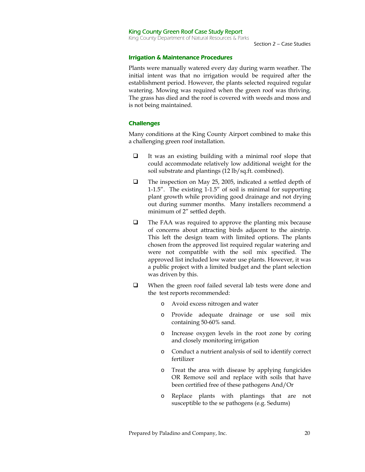King County Department of Natural Resources & Parks

Section 2 – Case Studies

# Irrigation & Maintenance Procedures

Plants were manually watered every day during warm weather. The initial intent was that no irrigation would be required after the establishment period. However, the plants selected required regular watering. Mowing was required when the green roof was thriving. The grass has died and the roof is covered with weeds and moss and is not being maintained.

# **Challenges**

Many conditions at the King County Airport combined to make this a challenging green roof installation.

- $\Box$  It was an existing building with a minimal roof slope that could accommodate relatively low additional weight for the soil substrate and plantings (12 lb/sq.ft. combined).
- □ The inspection on May 25, 2005, indicated a settled depth of 1-1.5". The existing 1-1.5" of soil is minimal for supporting plant growth while providing good drainage and not drying out during summer months. Many installers recommend a minimum of 2" settled depth.
- □ The FAA was required to approve the planting mix because of concerns about attracting birds adjacent to the airstrip. This left the design team with limited options. The plants chosen from the approved list required regular watering and were not compatible with the soil mix specified. The approved list included low water use plants. However, it was a public project with a limited budget and the plant selection was driven by this.
- □ When the green roof failed several lab tests were done and the test reports recommended:
	- o Avoid excess nitrogen and water
	- o Provide adequate drainage or use soil mix containing 50-60% sand.
	- o Increase oxygen levels in the root zone by coring and closely monitoring irrigation
	- o Conduct a nutrient analysis of soil to identify correct fertilizer
	- o Treat the area with disease by applying fungicides OR Remove soil and replace with soils that have been certified free of these pathogens And/Or
	- o Replace plants with plantings that are not susceptible to the se pathogens (e.g. Sedums)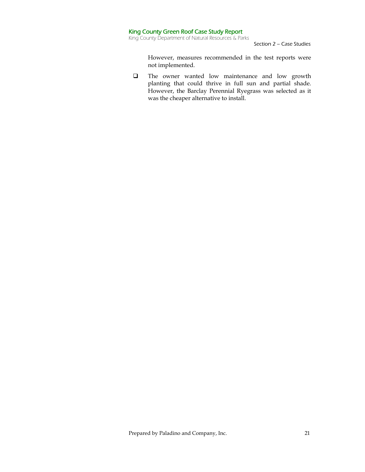King County Department of Natural Resources & Parks

Section 2 – Case Studies

However, measures recommended in the test reports were not implemented.

 $\Box$  The owner wanted low maintenance and low growth planting that could thrive in full sun and partial shade. However, the Barclay Perennial Ryegrass was selected as it was the cheaper alternative to install.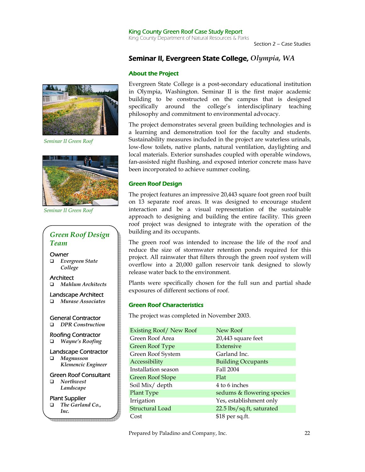King County Department of Natural Resources & Parks

Section 2 – Case Studies



### About the Project

Evergreen State College is a post-secondary educational institution in Olympia, Washington. Seminar II is the first major academic building to be constructed on the campus that is designed specifically around the college's interdisciplinary teaching philosophy and commitment to environmental advocacy.

The project demonstrates several green building technologies and is a learning and demonstration tool for the faculty and students. Sustainability measures included in the project are waterless urinals, low-flow toilets, native plants, natural ventilation, daylighting and local materials. Exterior sunshades coupled with operable windows, fan-assisted night flushing, and exposed interior concrete mass have been incorporated to achieve summer cooling.

### Green Roof Design

The project features an impressive 20,443 square foot green roof built on 13 separate roof areas. It was designed to encourage student interaction and be a visual representation of the sustainable approach to designing and building the entire facility. This green roof project was designed to integrate with the operation of the building and its occupants.

The green roof was intended to increase the life of the roof and reduce the size of stormwater retention ponds required for this project. All rainwater that filters through the green roof system will overflow into a 20,000 gallon reservoir tank designed to slowly release water back to the environment.

Plants were specifically chosen for the full sun and partial shade exposures of different sections of roof.

# Green Roof Characteristics

The project was completed in November 2003.

| <b>Existing Roof/ New Roof</b> | New Roof                   |
|--------------------------------|----------------------------|
| Green Roof Area                | 20,443 square feet         |
| Green Roof Type                | Extensive                  |
| Green Roof System              | Garland Inc.               |
| Accessibility                  | <b>Building Occupants</b>  |
| Installation season            | Fall 2004                  |
| Green Roof Slope               | Flat                       |
| Soil Mix/ depth                | 4 to 6 inches              |
| Plant Type                     | sedums & flowering species |
| Irrigation                     | Yes, establishment only    |
| <b>Structural Load</b>         | 22.5 lbs/sq.ft, saturated  |
| Cost                           | \$18 per sq.ft.            |

Prepared by Paladino and Company, Inc. 22



*Seminar II Green Roof* 



*Seminar II Green Roof* 

# *Green Roof Design Team*

#### Owner

 *Evergreen State College* 

#### **Architect**

*Mahlum Architects* 

### Landscape Architect

*Murase Associates* 

# General Contractor

*DPR Construction* 

# Roofing Contractor

*Wayne's Roofing* 

### Landscape Contractor

 *Magnusson Klemencic Engineer* 

# Green Roof Consultant

 *Northwest Landscape* 

### Plant Supplier

 *The Garland Co., Inc.*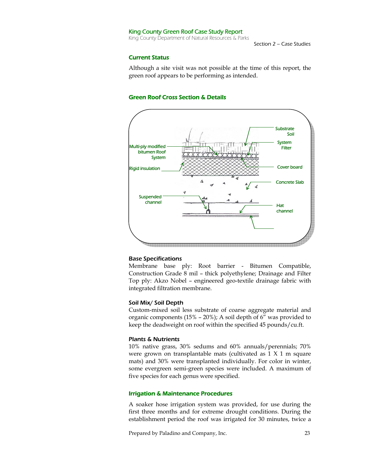King County Department of Natural Resources & Parks

Section 2 – Case Studies

### Current Status

Although a site visit was not possible at the time of this report, the green roof appears to be performing as intended.

### Green Roof Cross Section & Details



### Base Specifications

Membrane base ply: Root barrier - Bitumen Compatible, Construction Grade 8 mil – thick polyethylene; Drainage and Filter Top ply: Akzo Nobel – engineered geo-textile drainage fabric with integrated filtration membrane.

#### Soil Mix/ Soil Depth

Custom-mixed soil less substrate of coarse aggregate material and organic components (15% – 20%); A soil depth of 6" was provided to keep the deadweight on roof within the specified 45 pounds/cu.ft.

#### Plants & Nutrients

10% native grass, 30% sedums and 60% annuals/perennials; 70% were grown on transplantable mats (cultivated as 1 X 1 m square mats) and 30% were transplanted individually. For color in winter, some evergreen semi-green species were included. A maximum of five species for each genus were specified.

### Irrigation & Maintenance Procedures

A soaker hose irrigation system was provided, for use during the first three months and for extreme drought conditions. During the establishment period the roof was irrigated for 30 minutes, twice a

Prepared by Paladino and Company, Inc. 23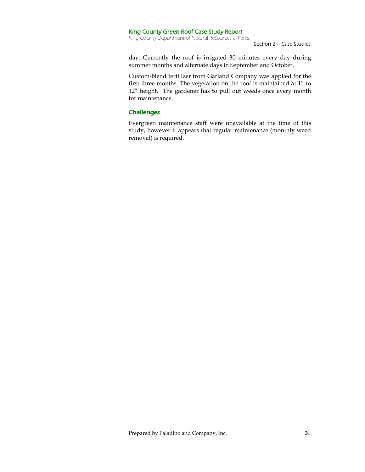King County Department of Natural Resources & Parks

day. Currently the roof is irrigated 30 minutes every day during summer months and alternate days in September and October.

Custom-blend fertilizer from Garland Company was applied for the first three months. The vegetation on the roof is maintained at 1" to 12" height. The gardener has to pull out weeds once every month for maintenance.

# **Challenges**

Evergreen maintenance staff were unavailable at the time of this study, however it appears that regular maintenance (monthly weed removal) is required.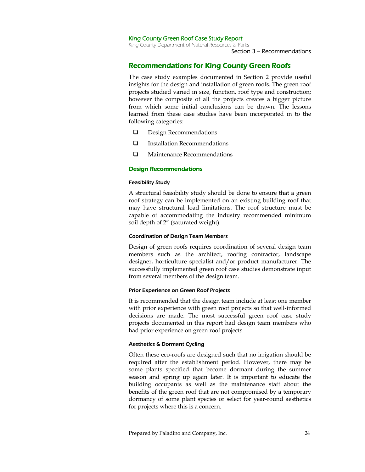King County Department of Natural Resources & Parks

Section 3 – Recommendations

# Recommendations for King County Green Roofs

The case study examples documented in Section 2 provide useful insights for the design and installation of green roofs. The green roof projects studied varied in size, function, roof type and construction; however the composite of all the projects creates a bigger picture from which some initial conclusions can be drawn. The lessons learned from these case studies have been incorporated in to the following categories:

- Design Recommendations
- Installation Recommendations
- $\Box$  Maintenance Recommendations

### Design Recommendations

#### Feasibility Study

A structural feasibility study should be done to ensure that a green roof strategy can be implemented on an existing building roof that may have structural load limitations. The roof structure must be capable of accommodating the industry recommended minimum soil depth of 2" (saturated weight).

### Coordination of Design Team Members

Design of green roofs requires coordination of several design team members such as the architect, roofing contractor, landscape designer, horticulture specialist and/or product manufacturer. The successfully implemented green roof case studies demonstrate input from several members of the design team.

#### Prior Experience on Green Roof Projects

It is recommended that the design team include at least one member with prior experience with green roof projects so that well-informed decisions are made. The most successful green roof case study projects documented in this report had design team members who had prior experience on green roof projects.

### Aesthetics & Dormant Cycling

Often these eco-roofs are designed such that no irrigation should be required after the establishment period. However, there may be some plants specified that become dormant during the summer season and spring up again later. It is important to educate the building occupants as well as the maintenance staff about the benefits of the green roof that are not compromised by a temporary dormancy of some plant species or select for year-round aesthetics for projects where this is a concern.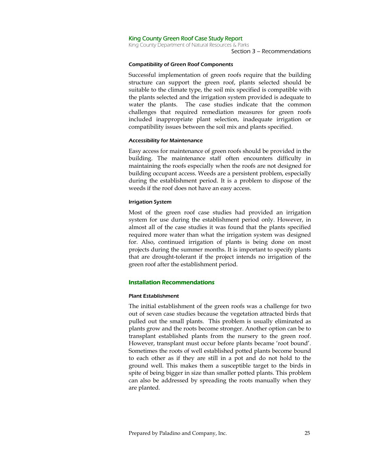King County Department of Natural Resources & Parks

Section 3 – Recommendations

#### Compatibility of Green Roof Components

Successful implementation of green roofs require that the building structure can support the green roof, plants selected should be suitable to the climate type, the soil mix specified is compatible with the plants selected and the irrigation system provided is adequate to water the plants. The case studies indicate that the common challenges that required remediation measures for green roofs included inappropriate plant selection, inadequate irrigation or compatibility issues between the soil mix and plants specified.

#### Accessibility for Maintenance

Easy access for maintenance of green roofs should be provided in the building. The maintenance staff often encounters difficulty in maintaining the roofs especially when the roofs are not designed for building occupant access. Weeds are a persistent problem, especially during the establishment period. It is a problem to dispose of the weeds if the roof does not have an easy access.

#### Irrigation System

Most of the green roof case studies had provided an irrigation system for use during the establishment period only. However, in almost all of the case studies it was found that the plants specified required more water than what the irrigation system was designed for. Also, continued irrigation of plants is being done on most projects during the summer months. It is important to specify plants that are drought-tolerant if the project intends no irrigation of the green roof after the establishment period.

# Installation Recommendations

#### Plant Establishment

The initial establishment of the green roofs was a challenge for two out of seven case studies because the vegetation attracted birds that pulled out the small plants. This problem is usually eliminated as plants grow and the roots become stronger. Another option can be to transplant established plants from the nursery to the green roof. However, transplant must occur before plants became 'root bound'. Sometimes the roots of well established potted plants become bound to each other as if they are still in a pot and do not hold to the ground well. This makes them a susceptible target to the birds in spite of being bigger in size than smaller potted plants. This problem can also be addressed by spreading the roots manually when they are planted.